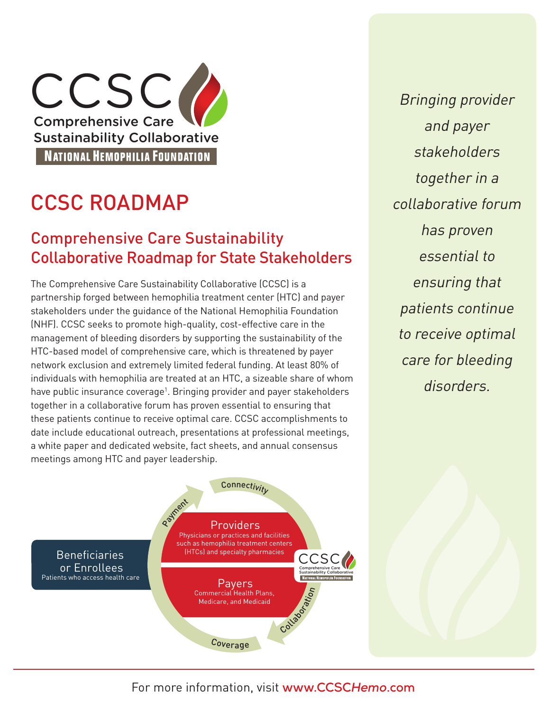CCSC( Comprehensive Care Sustainability Collaborative **NATIONAL HEMOPHILIA FOUNDATION** 

# CCSC ROADMAP

### Comprehensive Care Sustainability Collaborative Roadmap for State Stakeholders

The Comprehensive Care Sustainability Collaborative (CCSC) is a partnership forged between hemophilia treatment center (HTC) and payer stakeholders under the guidance of the National Hemophilia Foundation (NHF). CCSC seeks to promote high-quality, cost-effective care in the management of bleeding disorders by supporting the sustainability of the HTC-based model of comprehensive care, which is threatened by payer network exclusion and extremely limited federal funding. At least 80% of individuals with hemophilia are treated at an HTC, a sizeable share of whom have public insurance coverage<sup>1</sup>. Bringing provider and payer stakeholders together in a collaborative forum has proven essential to ensuring that these patients continue to receive optimal care. CCSC accomplishments to date include educational outreach, presentations at professional meetings, a white paper and dedicated website, fact sheets, and annual consensus meetings among HTC and payer leadership.

Bringing provider and payer stakeholders together in a collaborative forum has proven essential to ensuring that patients continue to receive optimal care for bleeding disorders.



For more information, visit **www.CCSC***Hemo***.com**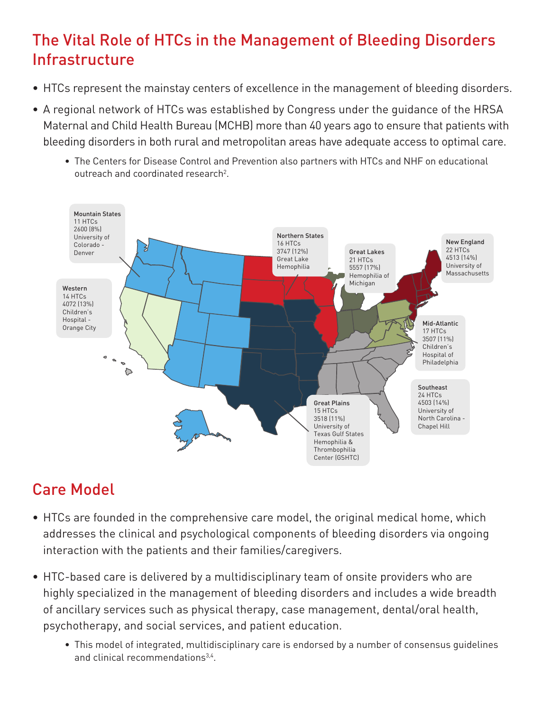# The Vital Role of HTCs in the Management of Bleeding Disorders Infrastructure

- HTCs represent the mainstay centers of excellence in the management of bleeding disorders.
- A regional network of HTCs was established by Congress under the guidance of the HRSA Maternal and Child Health Bureau (MCHB) more than 40 years ago to ensure that patients with bleeding disorders in both rural and metropolitan areas have adequate access to optimal care.
	- The Centers for Disease Control and Prevention also partners with HTCs and NHF on educational outreach and coordinated research<sup>2</sup>.



# Care Model

- HTCs are founded in the comprehensive care model, the original medical home, which addresses the clinical and psychological components of bleeding disorders via ongoing interaction with the patients and their families/caregivers.
- HTC-based care is delivered by a multidisciplinary team of onsite providers who are highly specialized in the management of bleeding disorders and includes a wide breadth of ancillary services such as physical therapy, case management, dental/oral health, psychotherapy, and social services, and patient education.
	- This model of integrated, multidisciplinary care is endorsed by a number of consensus guidelines and clinical recommendations<sup>3,4</sup>.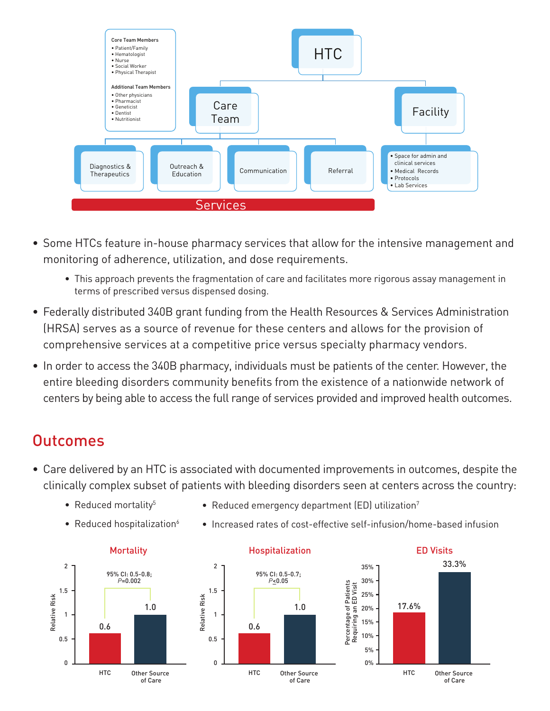

- Some HTCs feature in-house pharmacy services that allow for the intensive management and monitoring of adherence, utilization, and dose requirements.
	- This approach prevents the fragmentation of care and facilitates more rigorous assay management in terms of prescribed versus dispensed dosing.
- Federally distributed 340B grant funding from the Health Resources & Services Administration (HRSA) serves as a source of revenue for these centers and allows for the provision of comprehensive services at a competitive price versus specialty pharmacy vendors.
- In order to access the 340B pharmacy, individuals must be patients of the center. However, the entire bleeding disorders community benefits from the existence of a nationwide network of centers by being able to access the full range of services provided and improved health outcomes.

### **Outcomes**

- Care delivered by an HTC is associated with documented improvements in outcomes, despite the clinically complex subset of patients with bleeding disorders seen at centers across the country:
	- Reduced mortality<sup>5</sup>
- Reduced emergency department (ED) utilization<sup>7</sup>
- Reduced hospitalization $6$
- 



• Increased rates of cost-effective self-infusion/home-based infusion